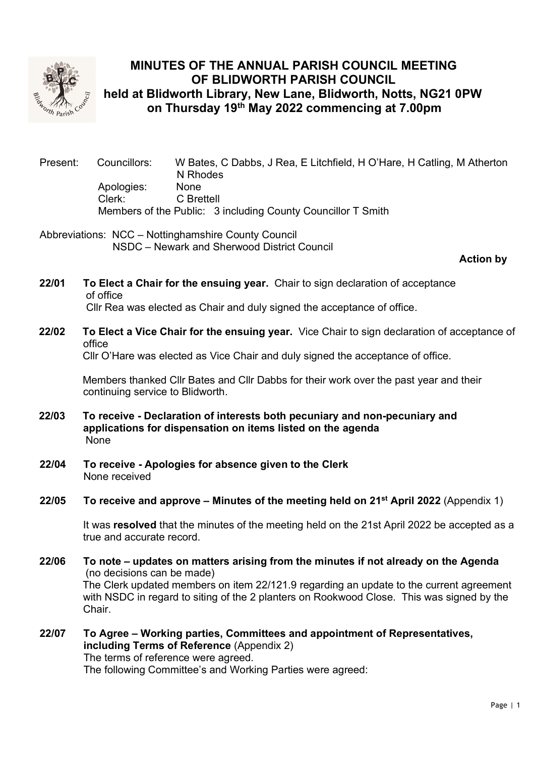

# MINUTES OF THE ANNUAL PARISH COUNCIL MEETING OF BLIDWORTH PARISH COUNCIL held at Blidworth Library, New Lane, Blidworth, Notts, NG21 0PW on Thursday 19<sup>th</sup> May 2022 commencing at 7.00pm

Present: Councillors: W Bates, C Dabbs, J Rea, E Litchfield, H O'Hare, H Catling, M Atherton N Rhodes Apologies: None Clerk: C Brettell Members of the Public: 3 including County Councillor T Smith

Abbreviations: NCC – Nottinghamshire County Council NSDC – Newark and Sherwood District Council

Action by

- 22/01 To Elect a Chair for the ensuing year. Chair to sign declaration of acceptance of office Cllr Rea was elected as Chair and duly signed the acceptance of office.
- 22/02 To Elect a Vice Chair for the ensuing vear. Vice Chair to sign declaration of acceptance of office

Cllr O'Hare was elected as Vice Chair and duly signed the acceptance of office.

 Members thanked Cllr Bates and Cllr Dabbs for their work over the past year and their continuing service to Blidworth.

- 22/03 To receive Declaration of interests both pecuniary and non-pecuniary and applications for dispensation on items listed on the agenda **None**
- 22/04 To receive Apologies for absence given to the Clerk None received

#### 22/05 To receive and approve – Minutes of the meeting held on  $21^{st}$  April 2022 (Appendix 1)

It was resolved that the minutes of the meeting held on the 21st April 2022 be accepted as a true and accurate record.

- 22/06 To note updates on matters arising from the minutes if not already on the Agenda (no decisions can be made) The Clerk updated members on item 22/121.9 regarding an update to the current agreement with NSDC in regard to siting of the 2 planters on Rookwood Close. This was signed by the Chair.
- 22/07 To Agree Working parties, Committees and appointment of Representatives, including Terms of Reference (Appendix 2) The terms of reference were agreed. The following Committee's and Working Parties were agreed: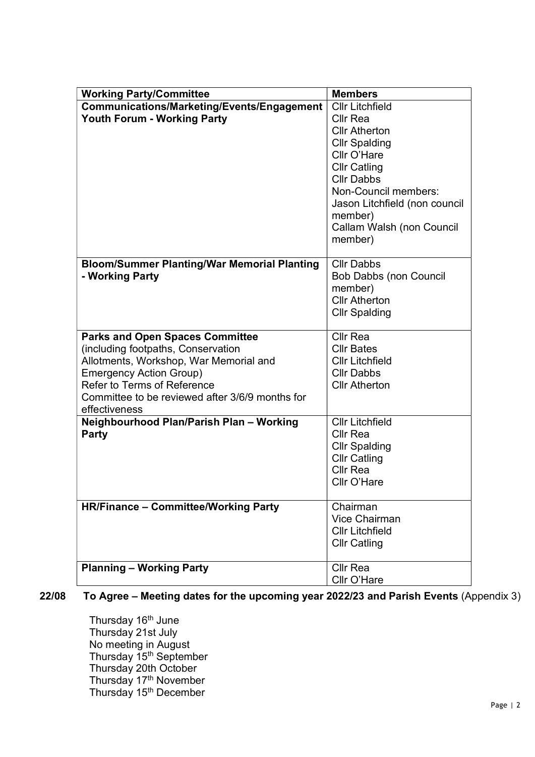| <b>Working Party/Committee</b>                                                                                                                                                                                                                              | <b>Members</b>                                                                                                                                                                                                                                                   |
|-------------------------------------------------------------------------------------------------------------------------------------------------------------------------------------------------------------------------------------------------------------|------------------------------------------------------------------------------------------------------------------------------------------------------------------------------------------------------------------------------------------------------------------|
| Communications/Marketing/Events/Engagement<br><b>Youth Forum - Working Party</b>                                                                                                                                                                            | <b>Cllr Litchfield</b><br><b>Cllr Rea</b><br><b>Cllr Atherton</b><br><b>Cllr Spalding</b><br>Cllr O'Hare<br><b>Cllr Catling</b><br><b>Cllr Dabbs</b><br>Non-Council members:<br>Jason Litchfield (non council<br>member)<br>Callam Walsh (non Council<br>member) |
| <b>Bloom/Summer Planting/War Memorial Planting</b><br>- Working Party                                                                                                                                                                                       | <b>Cllr Dabbs</b><br><b>Bob Dabbs (non Council</b><br>member)<br><b>Cllr Atherton</b><br><b>Cllr Spalding</b>                                                                                                                                                    |
| <b>Parks and Open Spaces Committee</b><br>(including footpaths, Conservation<br>Allotments, Workshop, War Memorial and<br><b>Emergency Action Group)</b><br>Refer to Terms of Reference<br>Committee to be reviewed after 3/6/9 months for<br>effectiveness | <b>Cllr Rea</b><br><b>Cllr Bates</b><br><b>Cllr Litchfield</b><br><b>Cllr Dabbs</b><br><b>Cllr Atherton</b>                                                                                                                                                      |
| Neighbourhood Plan/Parish Plan - Working<br>Party                                                                                                                                                                                                           | <b>Cllr Litchfield</b><br><b>Cllr Rea</b><br><b>Cllr Spalding</b><br><b>Cllr Catling</b><br><b>Cllr Rea</b><br>Cllr O'Hare                                                                                                                                       |
| <b>HR/Finance - Committee/Working Party</b>                                                                                                                                                                                                                 | Chairman<br>Vice Chairman<br><b>Cllr Litchfield</b><br><b>Cllr Catling</b>                                                                                                                                                                                       |
| <b>Planning - Working Party</b>                                                                                                                                                                                                                             | Cllr Rea<br>Cllr O'Hare                                                                                                                                                                                                                                          |

22/08 To Agree – Meeting dates for the upcoming year 2022/23 and Parish Events (Appendix 3)

Thursday 16<sup>th</sup> June Thursday 21st July No meeting in August Thursday 15<sup>th</sup> September Thursday 20th October Thursday 17<sup>th</sup> November Thursday 15<sup>th</sup> December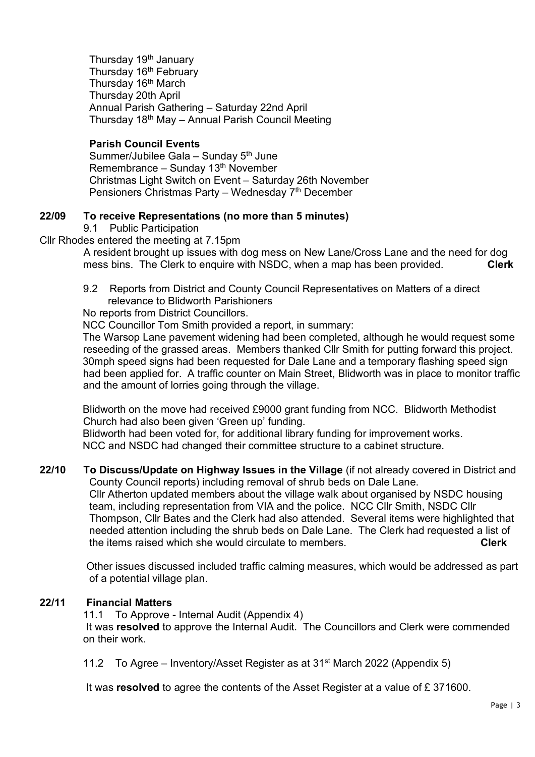Thursday 19<sup>th</sup> January Thursday 16<sup>th</sup> February Thursday 16<sup>th</sup> March Thursday 20th April Annual Parish Gathering – Saturday 22nd April Thursday 18th May – Annual Parish Council Meeting

### Parish Council Events

Summer/Jubilee Gala – Sunday 5<sup>th</sup> June Remembrance – Sunday  $13<sup>th</sup>$  November Christmas Light Switch on Event – Saturday 26th November Pensioners Christmas Party – Wednesday 7<sup>th</sup> December

#### 22/09 To receive Representations (no more than 5 minutes)

9.1 Public Participation

Cllr Rhodes entered the meeting at 7.15pm

 A resident brought up issues with dog mess on New Lane/Cross Lane and the need for dog mess bins. The Clerk to enquire with NSDC, when a map has been provided. Clerk

 9.2 Reports from District and County Council Representatives on Matters of a direct relevance to Blidworth Parishioners

No reports from District Councillors.

NCC Councillor Tom Smith provided a report, in summary:

 The Warsop Lane pavement widening had been completed, although he would request some reseeding of the grassed areas. Members thanked Cllr Smith for putting forward this project. 30mph speed signs had been requested for Dale Lane and a temporary flashing speed sign had been applied for. A traffic counter on Main Street, Blidworth was in place to monitor traffic and the amount of lorries going through the village.

 Blidworth on the move had received £9000 grant funding from NCC. Blidworth Methodist Church had also been given 'Green up' funding.

 Blidworth had been voted for, for additional library funding for improvement works. NCC and NSDC had changed their committee structure to a cabinet structure.

22/10 To Discuss/Update on Highway Issues in the Village (if not already covered in District and County Council reports) including removal of shrub beds on Dale Lane. Cllr Atherton updated members about the village walk about organised by NSDC housing team, including representation from VIA and the police. NCC Cllr Smith, NSDC Cllr

Thompson, Cllr Bates and the Clerk had also attended. Several items were highlighted that needed attention including the shrub beds on Dale Lane. The Clerk had requested a list of the items raised which she would circulate to members.

 Other issues discussed included traffic calming measures, which would be addressed as part of a potential village plan.

#### 22/11 Financial Matters

11.1 To Approve - Internal Audit (Appendix 4) It was resolved to approve the Internal Audit. The Councillors and Clerk were commended on their work.

11.2 To Agree – Inventory/Asset Register as at  $31<sup>st</sup>$  March 2022 (Appendix 5)

It was resolved to agree the contents of the Asset Register at a value of £371600.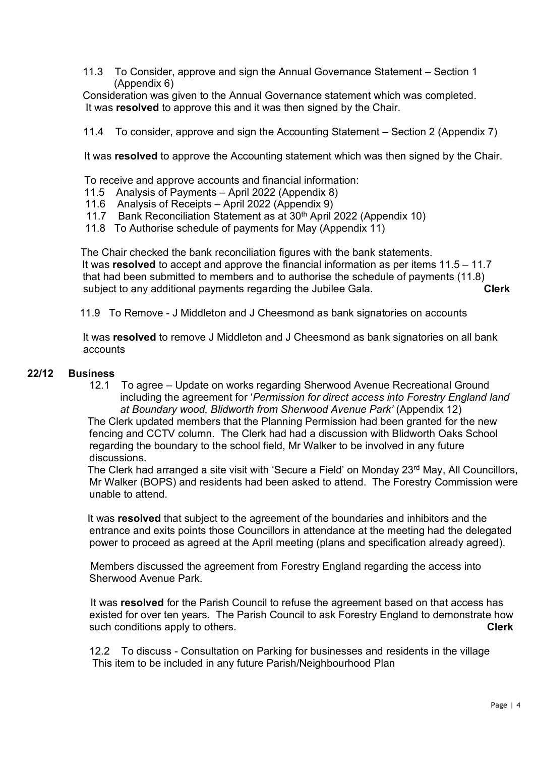11.3 To Consider, approve and sign the Annual Governance Statement – Section 1 (Appendix 6)

 Consideration was given to the Annual Governance statement which was completed. It was resolved to approve this and it was then signed by the Chair.

11.4 To consider, approve and sign the Accounting Statement – Section 2 (Appendix 7)

It was resolved to approve the Accounting statement which was then signed by the Chair.

To receive and approve accounts and financial information:

- 11.5 Analysis of Payments April 2022 (Appendix 8)
- 11.6 Analysis of Receipts April 2022 (Appendix 9)
- 11.7 Bank Reconciliation Statement as at 30<sup>th</sup> April 2022 (Appendix 10)
- 11.8 To Authorise schedule of payments for May (Appendix 11)

 The Chair checked the bank reconciliation figures with the bank statements. It was resolved to accept and approve the financial information as per items  $11.5 - 11.7$  that had been submitted to members and to authorise the schedule of payments (11.8) subject to any additional payments regarding the Jubilee Gala. Clerk

11.9 To Remove - J Middleton and J Cheesmond as bank signatories on accounts

It was resolved to remove J Middleton and J Cheesmond as bank signatories on all bank accounts

#### 22/12 Business

 12.1 To agree – Update on works regarding Sherwood Avenue Recreational Ground including the agreement for 'Permission for direct access into Forestry England land at Boundary wood, Blidworth from Sherwood Avenue Park' (Appendix 12)

 The Clerk updated members that the Planning Permission had been granted for the new fencing and CCTV column. The Clerk had had a discussion with Blidworth Oaks School regarding the boundary to the school field, Mr Walker to be involved in any future discussions.

The Clerk had arranged a site visit with 'Secure a Field' on Monday 23<sup>rd</sup> May, All Councillors, Mr Walker (BOPS) and residents had been asked to attend. The Forestry Commission were unable to attend.

 It was resolved that subject to the agreement of the boundaries and inhibitors and the entrance and exits points those Councillors in attendance at the meeting had the delegated power to proceed as agreed at the April meeting (plans and specification already agreed).

 Members discussed the agreement from Forestry England regarding the access into Sherwood Avenue Park.

It was resolved for the Parish Council to refuse the agreement based on that access has existed for over ten years. The Parish Council to ask Forestry England to demonstrate how such conditions apply to others. Clerk and the state of the state of the clerk clerk

 12.2 To discuss - Consultation on Parking for businesses and residents in the village This item to be included in any future Parish/Neighbourhood Plan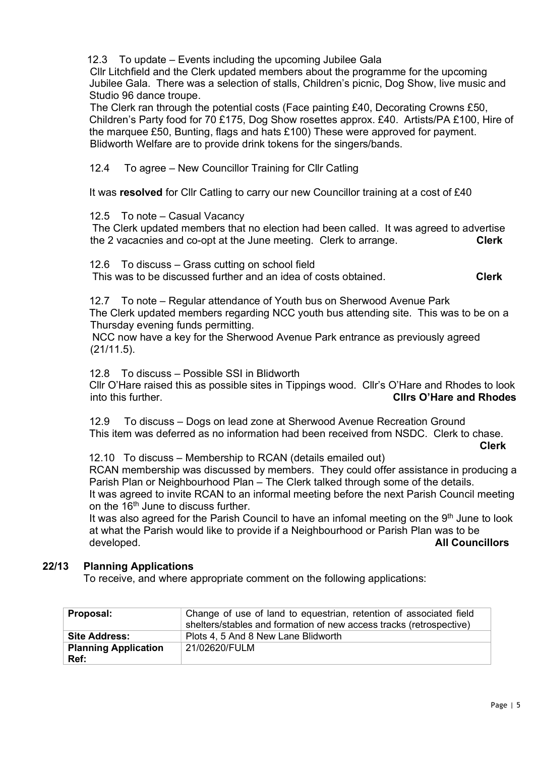12.3 To update – Events including the upcoming Jubilee Gala

 Cllr Litchfield and the Clerk updated members about the programme for the upcoming Jubilee Gala. There was a selection of stalls, Children's picnic, Dog Show, live music and Studio 96 dance troupe.

 The Clerk ran through the potential costs (Face painting £40, Decorating Crowns £50, Children's Party food for 70 £175, Dog Show rosettes approx. £40. Artists/PA £100, Hire of the marquee £50, Bunting, flags and hats £100) These were approved for payment. Blidworth Welfare are to provide drink tokens for the singers/bands.

12.4 To agree – New Councillor Training for Cllr Catling

It was resolved for Cllr Catling to carry our new Councillor training at a cost of £40

#### 12.5 To note – Casual Vacancy

 The Clerk updated members that no election had been called. It was agreed to advertise the 2 vacacnies and co-opt at the June meeting. Clerk to arrange. Clerk Clerk

12.6 To discuss – Grass cutting on school field

This was to be discussed further and an idea of costs obtained. Clerk

 12.7 To note – Regular attendance of Youth bus on Sherwood Avenue Park The Clerk updated members regarding NCC youth bus attending site. This was to be on a Thursday evening funds permitting.

 NCC now have a key for the Sherwood Avenue Park entrance as previously agreed (21/11.5).

12.8 To discuss – Possible SSI in Blidworth

 Cllr O'Hare raised this as possible sites in Tippings wood. Cllr's O'Hare and Rhodes to look into this further. The contract of the club of the club of the Clins O'Hare and Rhodes

 12.9 To discuss – Dogs on lead zone at Sherwood Avenue Recreation Ground This item was deferred as no information had been received from NSDC. Clerk to chase. Clerk

12.10 To discuss – Membership to RCAN (details emailed out)

RCAN membership was discussed by members. They could offer assistance in producing a Parish Plan or Neighbourhood Plan – The Clerk talked through some of the details. It was agreed to invite RCAN to an informal meeting before the next Parish Council meeting on the 16<sup>th</sup> June to discuss further.

It was also agreed for the Parish Council to have an infomal meeting on the 9<sup>th</sup> June to look at what the Parish would like to provide if a Neighbourhood or Parish Plan was to be developed. **All Councillors Council** 

#### 22/13 Planning Applications

To receive, and where appropriate comment on the following applications:

| Proposal:                   | Change of use of land to equestrian, retention of associated field<br>shelters/stables and formation of new access tracks (retrospective) |
|-----------------------------|-------------------------------------------------------------------------------------------------------------------------------------------|
| <b>Site Address:</b>        | Plots 4, 5 And 8 New Lane Blidworth                                                                                                       |
| <b>Planning Application</b> | 21/02620/FULM                                                                                                                             |
| Ref:                        |                                                                                                                                           |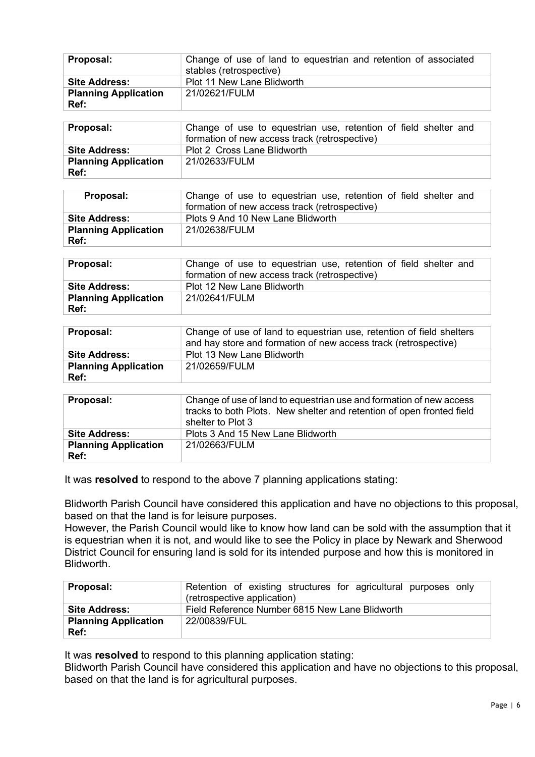| Proposal:                           | Change of use of land to equestrian and retention of associated<br>stables (retrospective) |
|-------------------------------------|--------------------------------------------------------------------------------------------|
| <b>Site Address:</b>                | Plot 11 New Lane Blidworth                                                                 |
| <b>Planning Application</b><br>Ref: | 21/02621/FULM                                                                              |

| <b>Proposal:</b>            | Change of use to equestrian use, retention of field shelter and<br>formation of new access track (retrospective) |
|-----------------------------|------------------------------------------------------------------------------------------------------------------|
| <b>Site Address:</b>        | <b>Plot 2 Cross Lane Blidworth</b>                                                                               |
| <b>Planning Application</b> | 21/02633/FULM                                                                                                    |
| Ref:                        |                                                                                                                  |

| Proposal:                           | Change of use to equestrian use, retention of field shelter and<br>formation of new access track (retrospective) |
|-------------------------------------|------------------------------------------------------------------------------------------------------------------|
| <b>Site Address:</b>                | Plots 9 And 10 New Lane Blidworth                                                                                |
| <b>Planning Application</b><br>Ref: | 21/02638/FULM                                                                                                    |

| Proposal:                   | Change of use to equestrian use, retention of field shelter and |  |  |  |  |
|-----------------------------|-----------------------------------------------------------------|--|--|--|--|
|                             | formation of new access track (retrospective)                   |  |  |  |  |
| Site Address:               | Plot 12 New Lane Blidworth                                      |  |  |  |  |
| <b>Planning Application</b> | 21/02641/FULM                                                   |  |  |  |  |
| Ref:                        |                                                                 |  |  |  |  |

| Proposal:                   | Change of use of land to equestrian use, retention of field shelters<br>and hay store and formation of new access track (retrospective) |
|-----------------------------|-----------------------------------------------------------------------------------------------------------------------------------------|
| <b>Site Address:</b>        | Plot 13 New Lane Blidworth                                                                                                              |
| <b>Planning Application</b> | 21/02659/FULM                                                                                                                           |
| Ref:                        |                                                                                                                                         |

| Proposal:                           | Change of use of land to equestrian use and formation of new access<br>tracks to both Plots. New shelter and retention of open fronted field<br>shelter to Plot 3 |
|-------------------------------------|-------------------------------------------------------------------------------------------------------------------------------------------------------------------|
| <b>Site Address:</b>                | Plots 3 And 15 New Lane Blidworth                                                                                                                                 |
| <b>Planning Application</b><br>Ref: | 21/02663/FULM                                                                                                                                                     |

It was resolved to respond to the above 7 planning applications stating:

Blidworth Parish Council have considered this application and have no objections to this proposal, based on that the land is for leisure purposes.

However, the Parish Council would like to know how land can be sold with the assumption that it is equestrian when it is not, and would like to see the Policy in place by Newark and Sherwood District Council for ensuring land is sold for its intended purpose and how this is monitored in Blidworth.

| Proposal:                   | Retention of existing structures for agricultural purposes only<br>(retrospective application) |  |  |  |  |  |
|-----------------------------|------------------------------------------------------------------------------------------------|--|--|--|--|--|
| <b>Site Address:</b>        | Field Reference Number 6815 New Lane Blidworth                                                 |  |  |  |  |  |
| <b>Planning Application</b> | 22/00839/FUL                                                                                   |  |  |  |  |  |
| Ref:                        |                                                                                                |  |  |  |  |  |

It was resolved to respond to this planning application stating:

Blidworth Parish Council have considered this application and have no objections to this proposal, based on that the land is for agricultural purposes.